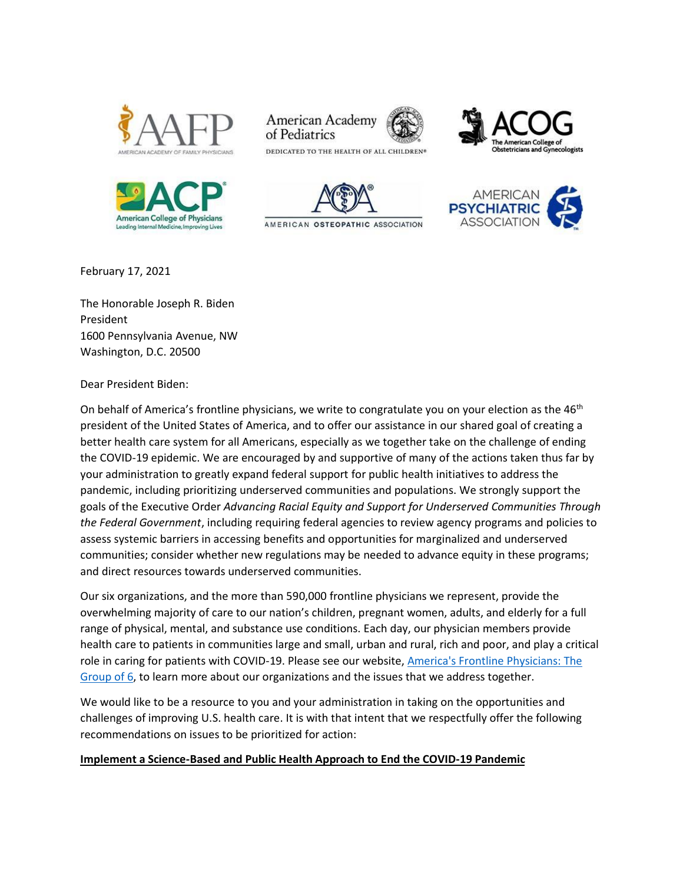





DEDICATED TO THE HEALTH OF ALL CHILDREN®

American Academy

of Pediatrics

AMERICAN OSTEOPATHIC ASSOCIATION





February 17, 2021

The Honorable Joseph R. Biden President 1600 Pennsylvania Avenue, NW Washington, D.C. 20500

Dear President Biden:

On behalf of America's frontline physicians, we write to congratulate you on your election as the  $46<sup>th</sup>$ president of the United States of America, and to offer our assistance in our shared goal of creating a better health care system for all Americans, especially as we together take on the challenge of ending the COVID-19 epidemic. We are encouraged by and supportive of many of the actions taken thus far by your administration to greatly expand federal support for public health initiatives to address the pandemic, including prioritizing underserved communities and populations. We strongly support the goals of the Executive Order *Advancing Racial Equity and Support for Underserved Communities Through the Federal Government*, including requiring federal agencies to review agency programs and policies to assess systemic barriers in accessing benefits and opportunities for marginalized and underserved communities; consider whether new regulations may be needed to advance equity in these programs; and direct resources towards underserved communities.

Our six organizations, and the more than 590,000 frontline physicians we represent, provide the overwhelming majority of care to our nation's children, pregnant women, adults, and elderly for a full range of physical, mental, and substance use conditions. Each day, our physician members provide health care to patients in communities large and small, urban and rural, rich and poor, and play a critical role in caring for patients with COVID-19. Please see our website, [America's Frontline Physicians: The](https://www.aafp.org/group-six/home.html)  [Group of 6,](https://www.aafp.org/group-six/home.html) to learn more about our organizations and the issues that we address together.

We would like to be a resource to you and your administration in taking on the opportunities and challenges of improving U.S. health care. It is with that intent that we respectfully offer the following recommendations on issues to be prioritized for action:

## **Implement a Science-Based and Public Health Approach to End the COVID-19 Pandemic**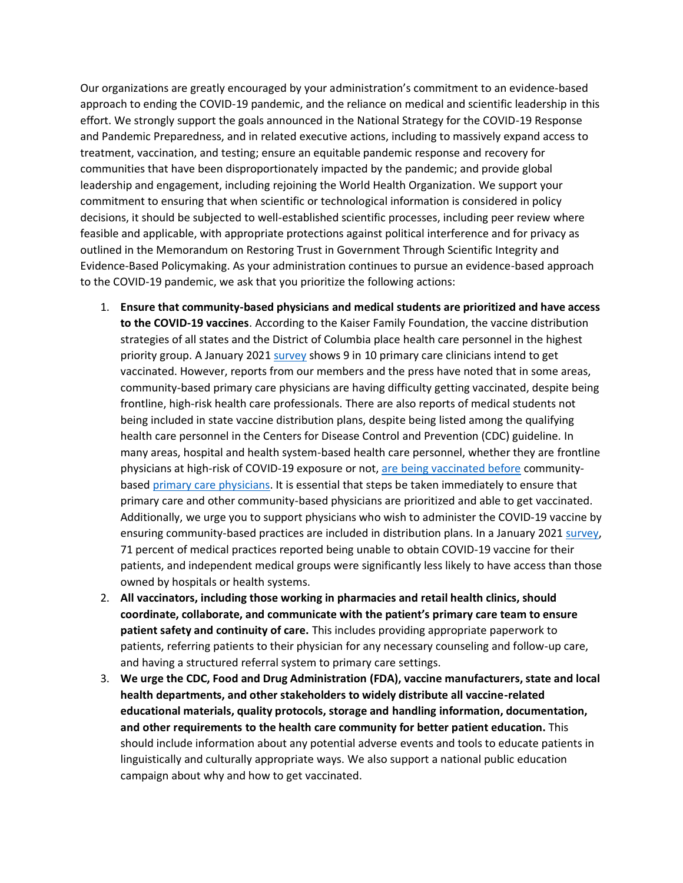Our organizations are greatly encouraged by your administration's commitment to an evidence-based approach to ending the COVID-19 pandemic, and the reliance on medical and scientific leadership in this effort. We strongly support the goals announced in the National Strategy for the COVID-19 Response and Pandemic Preparedness, and in related executive actions, including to massively expand access to treatment, vaccination, and testing; ensure an equitable pandemic response and recovery for communities that have been disproportionately impacted by the pandemic; and provide global leadership and engagement, including rejoining the World Health Organization. We support your commitment to ensuring that when scientific or technological information is considered in policy decisions, it should be subjected to well-established scientific processes, including peer review where feasible and applicable, with appropriate protections against political interference and for privacy as outlined in the Memorandum on Restoring Trust in Government Through Scientific Integrity and Evidence-Based Policymaking. As your administration continues to pursue an evidence-based approach to the COVID-19 pandemic, we ask that you prioritize the following actions:

- 1. **Ensure that community-based physicians and medical students are prioritized and have access to the COVID-19 vaccines**. According to the Kaiser Family Foundation, the vaccine distribution strategies of all states and the District of Columbia place health care personnel in the highest priority group. A January 202[1 survey](https://www.pcpcc.org/sites/default/files/news_files/C19%20Series%2024%20National%20Executive%20Summary.pdf) shows 9 in 10 primary care clinicians intend to get vaccinated. However, reports from our members and the press have noted that in some areas, community-based primary care physicians are having difficulty getting vaccinated, despite being frontline, high-risk health care professionals. There are also reports of medical students not being included in state vaccine distribution plans, despite being listed among the qualifying health care personnel in the Centers for Disease Control and Prevention (CDC) guideline. In many areas, hospital and health system-based health care personnel, whether they are frontline physicians at high-risk of COVID-19 exposure or not, [are being vaccinated before](https://www.statnews.com/2021/01/04/covid19-vaccines-primary-care-doctors-rollout/) communitybased [primary care physicians.](https://www.wsj.com/articles/covid-19-vaccines-remain-elusive-for-many-doctors-health-care-workers-11610046715) It is essential that steps be taken immediately to ensure that primary care and other community-based physicians are prioritized and able to get vaccinated. Additionally, we urge you to support physicians who wish to administer the COVID-19 vaccine by ensuring community-based practices are included in distribution plans. In a January 2021 [survey,](https://www.vmgma.org/assets/docs/Legislative/Physician%20Practice%20Vaccine%20Access%20Poll_Final_Jan.%202021.pdf) 71 percent of medical practices reported being unable to obtain COVID-19 vaccine for their patients, and independent medical groups were significantly less likely to have access than those owned by hospitals or health systems.
- 2. **All vaccinators, including those working in pharmacies and retail health clinics, should coordinate, collaborate, and communicate with the patient's primary care team to ensure patient safety and continuity of care.** This includes providing appropriate paperwork to patients, referring patients to their physician for any necessary counseling and follow-up care, and having a structured referral system to primary care settings.
- 3. **We urge the CDC, Food and Drug Administration (FDA), vaccine manufacturers, state and local health departments, and other stakeholders to widely distribute all vaccine-related educational materials, quality protocols, storage and handling information, documentation, and other requirements to the health care community for better patient education.** This should include information about any potential adverse events and tools to educate patients in linguistically and culturally appropriate ways. We also support a national public education campaign about why and how to get vaccinated.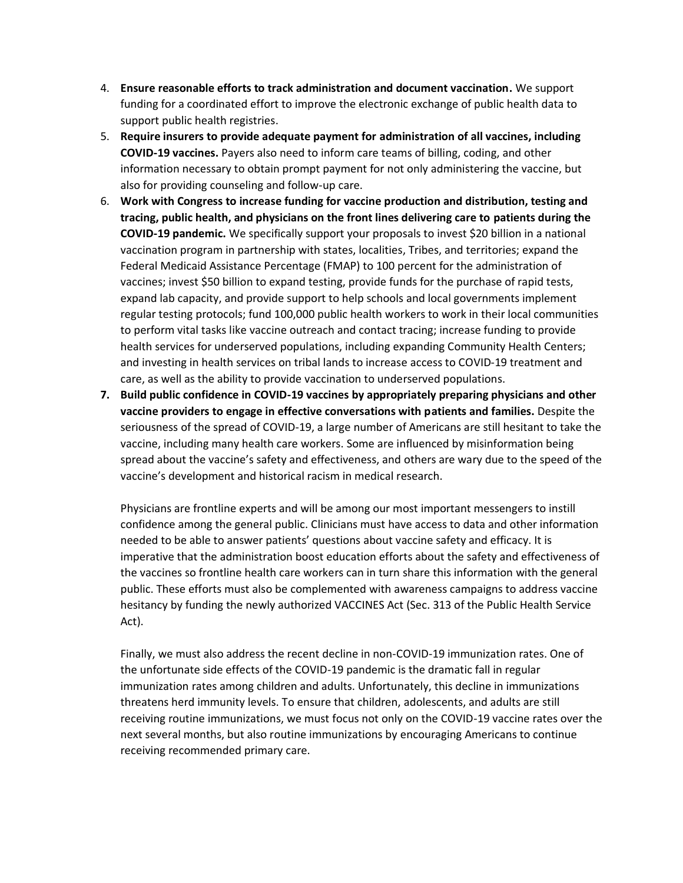- 4. **Ensure reasonable efforts to track administration and document vaccination.** We support funding for a coordinated effort to improve the electronic exchange of public health data to support public health registries.
- 5. **Require insurers to provide adequate payment for administration of all vaccines, including COVID-19 vaccines.** Payers also need to inform care teams of billing, coding, and other information necessary to obtain prompt payment for not only administering the vaccine, but also for providing counseling and follow-up care.
- 6. **Work with Congress to increase funding for vaccine production and distribution, testing and tracing, public health, and physicians on the front lines delivering care to patients during the COVID-19 pandemic.** We specifically support your proposals to invest \$20 billion in a national vaccination program in partnership with states, localities, Tribes, and territories; expand the Federal Medicaid Assistance Percentage (FMAP) to 100 percent for the administration of vaccines; invest \$50 billion to expand testing, provide funds for the purchase of rapid tests, expand lab capacity, and provide support to help schools and local governments implement regular testing protocols; fund 100,000 public health workers to work in their local communities to perform vital tasks like vaccine outreach and contact tracing; increase funding to provide health services for underserved populations, including expanding Community Health Centers; and investing in health services on tribal lands to increase access to COVID-19 treatment and care, as well as the ability to provide vaccination to underserved populations.
- **7. Build public confidence in COVID-19 vaccines by appropriately preparing physicians and other vaccine providers to engage in effective conversations with patients and families.** Despite the seriousness of the spread of COVID-19, a large number of Americans are still hesitant to take the vaccine, including many health care workers. Some are influenced by misinformation being spread about the vaccine's safety and effectiveness, and others are wary due to the speed of the vaccine's development and historical racism in medical research.

Physicians are frontline experts and will be among our most important messengers to instill confidence among the general public. Clinicians must have access to data and other information needed to be able to answer patients' questions about vaccine safety and efficacy. It is imperative that the administration boost education efforts about the safety and effectiveness of the vaccines so frontline health care workers can in turn share this information with the general public. These efforts must also be complemented with awareness campaigns to address vaccine hesitancy by funding the newly authorized VACCINES Act (Sec. 313 of the Public Health Service Act).

Finally, we must also address the recent decline in non-COVID-19 immunization rates. One of the unfortunate side effects of the COVID-19 pandemic is the dramatic fall in regular immunization rates among children and adults. Unfortunately, this decline in immunizations threatens herd immunity levels. To ensure that children, adolescents, and adults are still receiving routine immunizations, we must focus not only on the COVID-19 vaccine rates over the next several months, but also routine immunizations by encouraging Americans to continue receiving recommended primary care.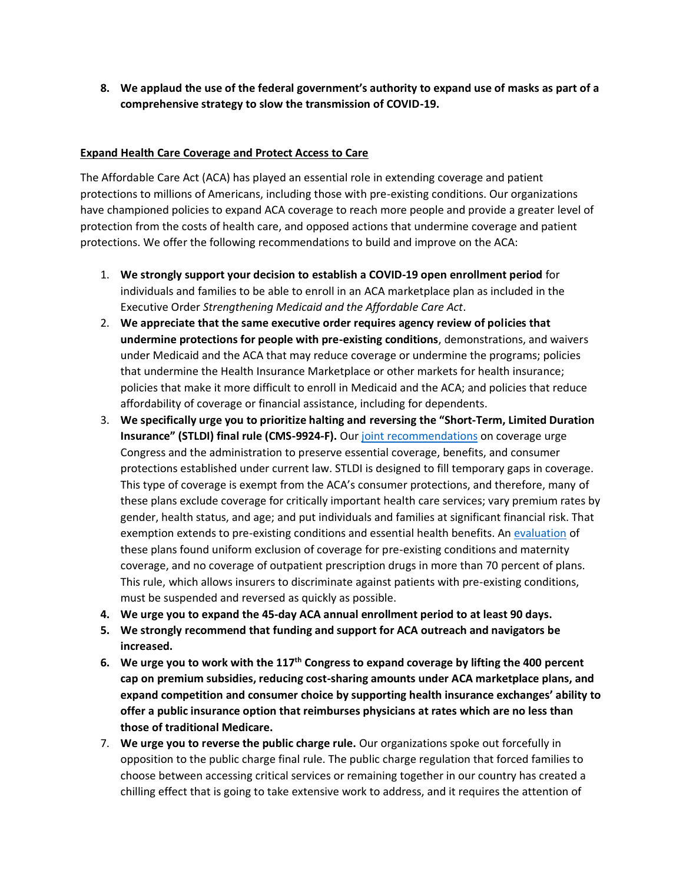**8. We applaud the use of the federal government's authority to expand use of masks as part of a comprehensive strategy to slow the transmission of COVID-19.**

#### **Expand Health Care Coverage and Protect Access to Care**

The Affordable Care Act (ACA) has played an essential role in extending coverage and patient protections to millions of Americans, including those with pre-existing conditions. Our organizations have championed policies to expand ACA coverage to reach more people and provide a greater level of protection from the costs of health care, and opposed actions that undermine coverage and patient protections. We offer the following recommendations to build and improve on the ACA:

- 1. **We strongly support your decision to establish a COVID-19 open enrollment period** for individuals and families to be able to enroll in an ACA marketplace plan as included in the Executive Order *Strengthening Medicaid and the Affordable Care Act*.
- 2. **We appreciate that the same executive order requires agency review of policies that undermine protections for people with pre-existing conditions**, demonstrations, and waivers under Medicaid and the ACA that may reduce coverage or undermine the programs; policies that undermine the Health Insurance Marketplace or other markets for health insurance; policies that make it more difficult to enroll in Medicaid and the ACA; and policies that reduce affordability of coverage or financial assistance, including for dependents.
- 3. **We specifically urge you to prioritize halting and reversing the "Short-Term, Limited Duration Insurance" (STLDI) final rule (CMS-9924-F).** Our [joint recommendations](https://www.aafp.org/dam/AAFP/documents/advocacy/coverage/insurance/ST-Group6-Coverage-020619.pdf) on coverage urge Congress and the administration to preserve essential coverage, benefits, and consumer protections established under current law. STLDI is designed to fill temporary gaps in coverage. This type of coverage is exempt from the ACA's consumer protections, and therefore, many of these plans exclude coverage for critically important health care services; vary premium rates by gender, health status, and age; and put individuals and families at significant financial risk. That exemption extends to pre-existing conditions and essential health benefits. An [evaluation](http://files.kff.org/attachment/Issue-Brief-Understanding-Short-Term-Limited-Duration-Health-Insurance) of these plans found uniform exclusion of coverage for pre-existing conditions and maternity coverage, and no coverage of outpatient prescription drugs in more than 70 percent of plans. This rule, which allows insurers to discriminate against patients with pre-existing conditions, must be suspended and reversed as quickly as possible.
- **4. We urge you to expand the 45-day ACA annual enrollment period to at least 90 days.**
- **5. We strongly recommend that funding and support for ACA outreach and navigators be increased.**
- **6. We urge you to work with the 117th Congress to expand coverage by lifting the 400 percent cap on premium subsidies, reducing cost-sharing amounts under ACA marketplace plans, and expand competition and consumer choice by supporting health insurance exchanges' ability to offer a public insurance option that reimburses physicians at rates which are no less than those of traditional Medicare.**
- 7. **We urge you to reverse the public charge rule.** Our organizations spoke out forcefully in opposition to the public charge final rule. The public charge regulation that forced families to choose between accessing critical services or remaining together in our country has created a chilling effect that is going to take extensive work to address, and it requires the attention of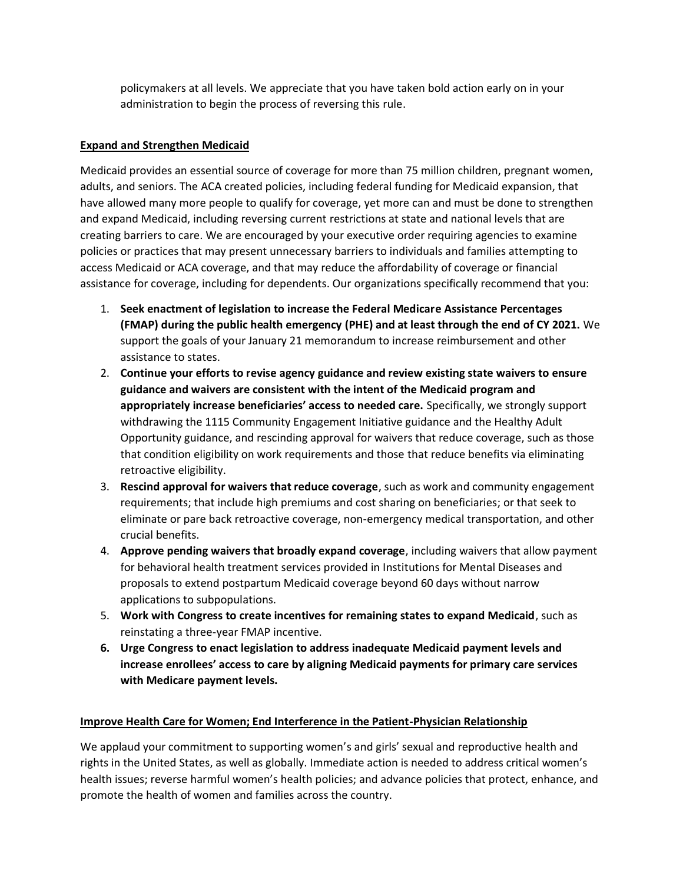policymakers at all levels. We appreciate that you have taken bold action early on in your administration to begin the process of reversing this rule.

# **Expand and Strengthen Medicaid**

Medicaid provides an essential source of coverage for more than 75 million children, pregnant women, adults, and seniors. The ACA created policies, including federal funding for Medicaid expansion, that have allowed many more people to qualify for coverage, yet more can and must be done to strengthen and expand Medicaid, including reversing current restrictions at state and national levels that are creating barriers to care. We are encouraged by your executive order requiring agencies to examine policies or practices that may present unnecessary barriers to individuals and families attempting to access Medicaid or ACA coverage, and that may reduce the affordability of coverage or financial assistance for coverage, including for dependents. Our organizations specifically recommend that you:

- 1. **Seek enactment of legislation to increase the Federal Medicare Assistance Percentages (FMAP) during the public health emergency (PHE) and at least through the end of CY 2021.** We support the goals of your January 21 memorandum to increase reimbursement and other assistance to states.
- 2. **Continue your efforts to revise agency guidance and review existing state waivers to ensure guidance and waivers are consistent with the intent of the Medicaid program and appropriately increase beneficiaries' access to needed care.** Specifically, we strongly support withdrawing the 1115 Community Engagement Initiative guidance and the Healthy Adult Opportunity guidance, and rescinding approval for waivers that reduce coverage, such as those that condition eligibility on work requirements and those that reduce benefits via eliminating retroactive eligibility.
- 3. **Rescind approval for waivers that reduce coverage**, such as work and community engagement requirements; that include high premiums and cost sharing on beneficiaries; or that seek to eliminate or pare back retroactive coverage, non-emergency medical transportation, and other crucial benefits.
- 4. **Approve pending waivers that broadly expand coverage**, including waivers that allow payment for behavioral health treatment services provided in Institutions for Mental Diseases and proposals to extend postpartum Medicaid coverage beyond 60 days without narrow applications to subpopulations.
- 5. **Work with Congress to create incentives for remaining states to expand Medicaid**, such as reinstating a three-year FMAP incentive.
- **6. Urge Congress to enact legislation to address inadequate Medicaid payment levels and increase enrollees' access to care by aligning Medicaid payments for primary care services with Medicare payment levels.**

## **Improve Health Care for Women; End Interference in the Patient-Physician Relationship**

We applaud your commitment to supporting women's and girls' sexual and reproductive health and rights in the United States, as well as globally. Immediate action is needed to address critical women's health issues; reverse harmful women's health policies; and advance policies that protect, enhance, and promote the health of women and families across the country.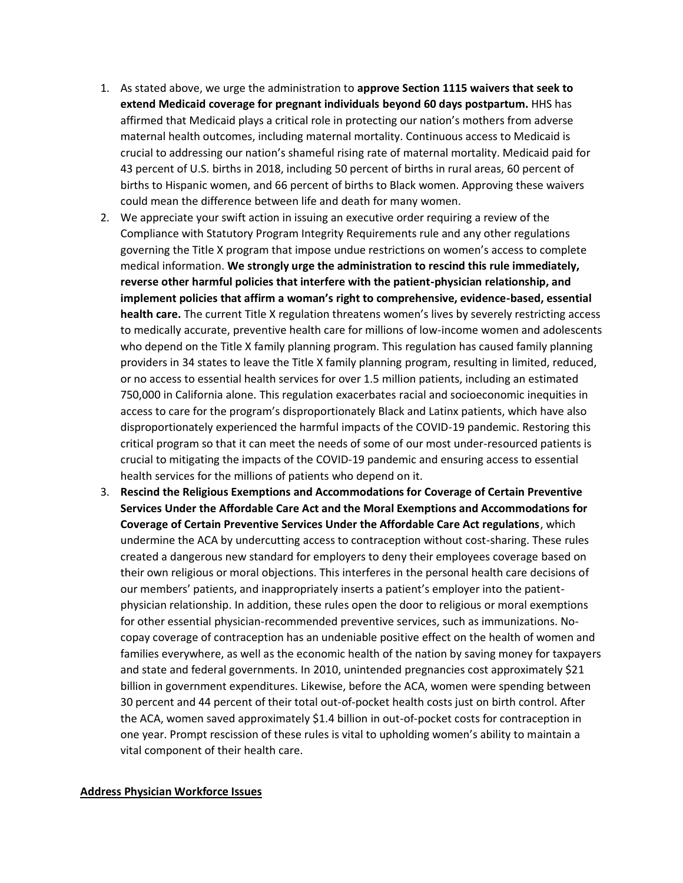- 1. As stated above, we urge the administration to **approve Section 1115 waivers that seek to extend Medicaid coverage for pregnant individuals beyond 60 days postpartum.** HHS has affirmed that Medicaid plays a critical role in protecting our nation's mothers from adverse maternal health outcomes, including maternal mortality. Continuous access to Medicaid is crucial to addressing our nation's shameful rising rate of maternal mortality. Medicaid paid for 43 percent of U.S. births in 2018, including 50 percent of births in rural areas, 60 percent of births to Hispanic women, and 66 percent of births to Black women. Approving these waivers could mean the difference between life and death for many women.
- 2. We appreciate your swift action in issuing an executive order requiring a review of the Compliance with Statutory Program Integrity Requirements rule and any other regulations governing the Title X program that impose undue restrictions on women's access to complete medical information. **We strongly urge the administration to rescind this rule immediately, reverse other harmful policies that interfere with the patient-physician relationship, and implement policies that affirm a woman's right to comprehensive, evidence-based, essential health care.** The current Title X regulation threatens women's lives by severely restricting access to medically accurate, preventive health care for millions of low-income women and adolescents who depend on the Title X family planning program. This regulation has caused family planning providers in 34 states to leave the Title X family planning program, resulting in limited, reduced, or no access to essential health services for over 1.5 million patients, including an estimated 750,000 in California alone. This regulation exacerbates racial and socioeconomic inequities in access to care for the program's disproportionately Black and Latinx patients, which have also disproportionately experienced the harmful impacts of the COVID-19 pandemic. Restoring this critical program so that it can meet the needs of some of our most under-resourced patients is crucial to mitigating the impacts of the COVID-19 pandemic and ensuring access to essential health services for the millions of patients who depend on it.
- 3. **Rescind the Religious Exemptions and Accommodations for Coverage of Certain Preventive Services Under the Affordable Care Act and the Moral Exemptions and Accommodations for Coverage of Certain Preventive Services Under the Affordable Care Act regulations**, which undermine the ACA by undercutting access to contraception without cost-sharing. These rules created a dangerous new standard for employers to deny their employees coverage based on their own religious or moral objections. This interferes in the personal health care decisions of our members' patients, and inappropriately inserts a patient's employer into the patientphysician relationship. In addition, these rules open the door to religious or moral exemptions for other essential physician-recommended preventive services, such as immunizations. Nocopay coverage of contraception has an undeniable positive effect on the health of women and families everywhere, as well as the economic health of the nation by saving money for taxpayers and state and federal governments. In 2010, unintended pregnancies cost approximately \$21 billion in government expenditures. Likewise, before the ACA, women were spending between 30 percent and 44 percent of their total out-of-pocket health costs just on birth control. After the ACA, women saved approximately \$1.4 billion in out-of-pocket costs for contraception in one year. Prompt rescission of these rules is vital to upholding women's ability to maintain a vital component of their health care.

#### **Address Physician Workforce Issues**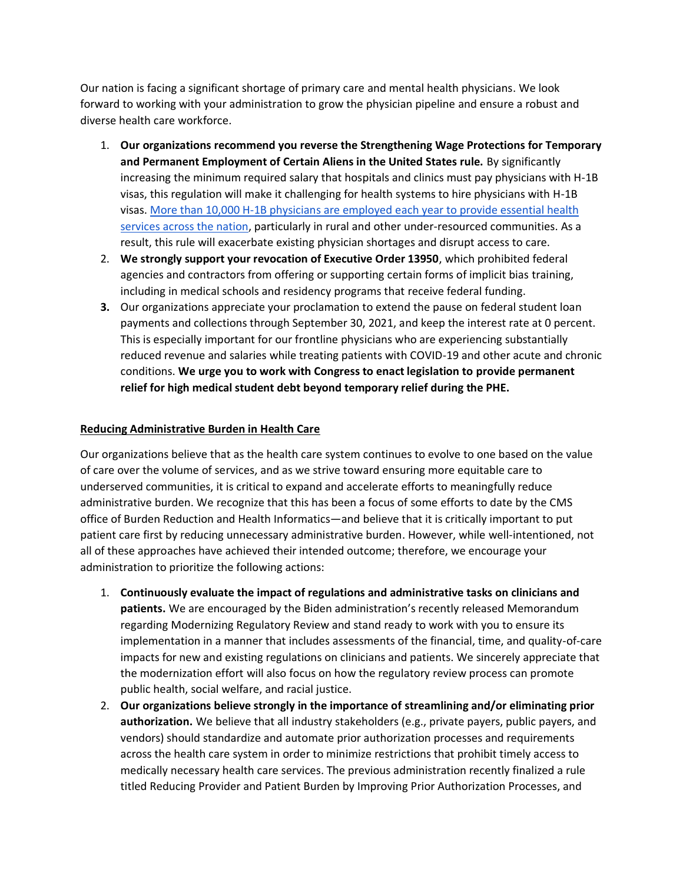Our nation is facing a significant shortage of primary care and mental health physicians. We look forward to working with your administration to grow the physician pipeline and ensure a robust and diverse health care workforce.

- 1. **Our organizations recommend you reverse the Strengthening Wage Protections for Temporary and Permanent Employment of Certain Aliens in the United States rule.** By significantly increasing the minimum required salary that hospitals and clinics must pay physicians with H-1B visas, this regulation will make it challenging for health systems to hire physicians with H-1B visas[. More than 10,000 H-1B physicians are employed each year to provide essential health](https://www.aafp.org/dam/AAFP/documents/advocacy/workforce/gme/LT-G6-DOL-H1BInterimRule-110920.pdf)  [services across the nation,](https://www.aafp.org/dam/AAFP/documents/advocacy/workforce/gme/LT-G6-DOL-H1BInterimRule-110920.pdf) particularly in rural and other under-resourced communities. As a result, this rule will exacerbate existing physician shortages and disrupt access to care.
- 2. **We strongly support your revocation of Executive Order 13950**, which prohibited federal agencies and contractors from offering or supporting certain forms of implicit bias training, including in medical schools and residency programs that receive federal funding.
- **3.** Our organizations appreciate your proclamation to extend the pause on federal student loan payments and collections through September 30, 2021, and keep the interest rate at 0 percent. This is especially important for our frontline physicians who are experiencing substantially reduced revenue and salaries while treating patients with COVID-19 and other acute and chronic conditions. **We urge you to work with Congress to enact legislation to provide permanent relief for high medical student debt beyond temporary relief during the PHE.**

# **Reducing Administrative Burden in Health Care**

Our organizations believe that as the health care system continues to evolve to one based on the value of care over the volume of services, and as we strive toward ensuring more equitable care to underserved communities, it is critical to expand and accelerate efforts to meaningfully reduce administrative burden. We recognize that this has been a focus of some efforts to date by the CMS office of Burden Reduction and Health Informatics―and believe that it is critically important to put patient care first by reducing unnecessary administrative burden. However, while well-intentioned, not all of these approaches have achieved their intended outcome; therefore, we encourage your administration to prioritize the following actions:

- 1. **Continuously evaluate the impact of regulations and administrative tasks on clinicians and patients.** We are encouraged by the Biden administration's recently released Memorandum regarding Modernizing Regulatory Review and stand ready to work with you to ensure its implementation in a manner that includes assessments of the financial, time, and quality-of-care impacts for new and existing regulations on clinicians and patients. We sincerely appreciate that the modernization effort will also focus on how the regulatory review process can promote public health, social welfare, and racial justice.
- 2. **Our organizations believe strongly in the importance of streamlining and/or eliminating prior authorization.** We believe that all industry stakeholders (e.g., private payers, public payers, and vendors) should standardize and automate prior authorization processes and requirements across the health care system in order to minimize restrictions that prohibit timely access to medically necessary health care services. The previous administration recently finalized a rule titled Reducing Provider and Patient Burden by Improving Prior Authorization Processes, and